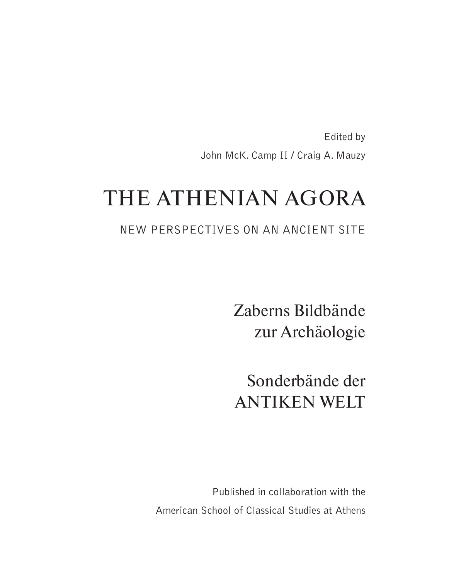Edited by John McK. Camp II / Craig A. Mauzy

# THE ATHENIAN AGORA

NEW PERSPECTIVES ON AN ANCIENT SITE

Zaberns Bildbände zur Archäologie

Sonderbände der Antiken Welt

Published in collaboration with the American School of Classical Studies at Athens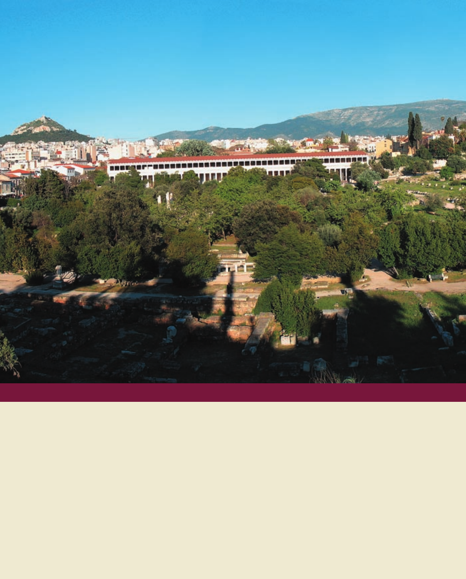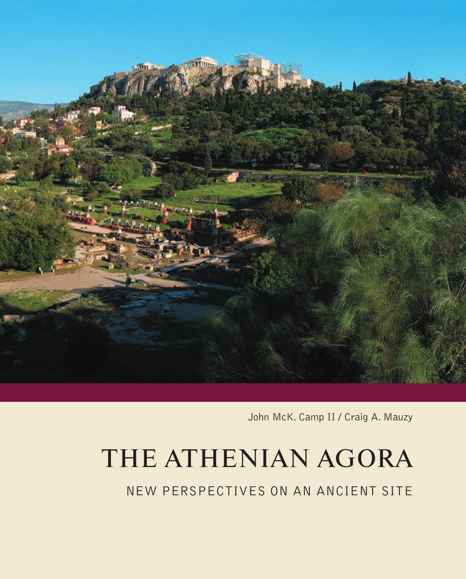

John McK. Camp II / Craig A. Mauzy

# THE ATHENIAN AGORA

NEW PERSPECTIVES ON AN ANCIENT SITE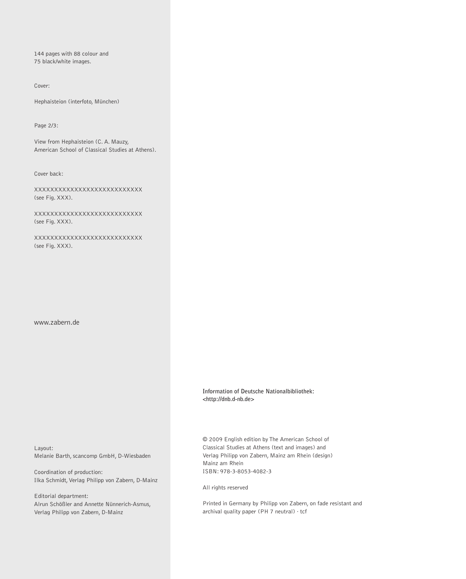144 pages with 88 colour and 75 black/white images.

Cover:

Hephaisteion (interfoto, München)

Page 2/3:

View from Hephaisteion (C. A. Mauzy, American School of Classical Studies at Athens).

Cover back:

XXXXXXXXXXXXXXXXXXXXXXXXXXX (see Fig. XXX).

XXXXXXXXXXXXXXXXXXXXXXXXXXX (see Fig. XXX).

XXXXXXXXXXXXXXXXXXXXXXXXXXX (see Fig. XXX).

www.zabern.de

Layout:

Coordination of production: Ilka Schmidt, Verlag Philipp von Zabern, D-Mainz

Melanie Barth, scancomp GmbH, D-Wiesbaden

Editorial department: Alrun Schößler and Annette Nünnerich-Asmus, Verlag Philipp von Zabern, D-Mainz

**Information of Deutsche Nationalbibliothek: <http://dnb.d-nb.de>**

© 2009 English edition by The American School of Classical Studies at Athens (text and images) and Verlag Philipp von Zabern, Mainz am Rhein (design) Mainz am Rhein ISBN: 978-3-8053-4082-3

All rights reserved

Printed in Germany by Philipp von Zabern, on fade resistant and archival quality paper (PH 7 neutral)  $\cdot$  tcf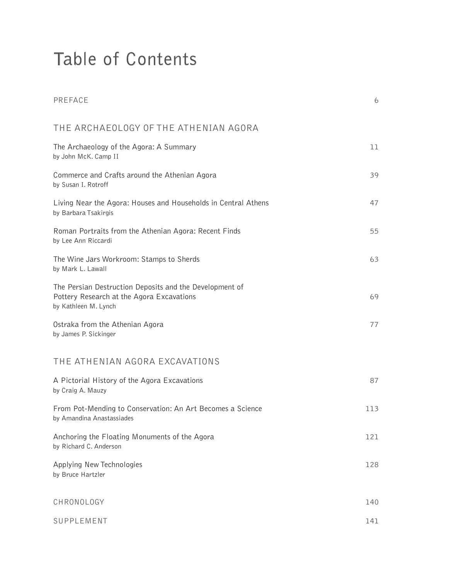## Table of Contents

| PREFACE                                                                                                                      | 6   |
|------------------------------------------------------------------------------------------------------------------------------|-----|
| THE ARCHAEOLOGY OF THE ATHENIAN AGORA                                                                                        |     |
| The Archaeology of the Agora: A Summary<br>by John McK. Camp II                                                              | 11  |
| Commerce and Crafts around the Athenian Agora<br>by Susan I. Rotroff                                                         | 39  |
| Living Near the Agora: Houses and Households in Central Athens<br>by Barbara Tsakirgis                                       | 47  |
| Roman Portraits from the Athenian Agora: Recent Finds<br>by Lee Ann Riccardi                                                 | 55  |
| The Wine Jars Workroom: Stamps to Sherds<br>by Mark L. Lawall                                                                | 63  |
| The Persian Destruction Deposits and the Development of<br>Pottery Research at the Agora Excavations<br>by Kathleen M. Lynch | 69  |
| Ostraka from the Athenian Agora<br>by James P. Sickinger                                                                     | 77  |
| THE ATHENIAN AGORA EXCAVATIONS                                                                                               |     |
| A Pictorial History of the Agora Excavations<br>by Craig A. Mauzy                                                            | 87  |
| From Pot-Mending to Conservation: An Art Becomes a Science<br>by Amandina Anastassiades                                      | 113 |
| Anchoring the Floating Monuments of the Agora<br>by Richard C. Anderson                                                      | 121 |
| Applying New Technologies<br>by Bruce Hartzler                                                                               | 128 |
| CHRONOLOGY                                                                                                                   | 140 |
| SUPPLEMENT                                                                                                                   | 141 |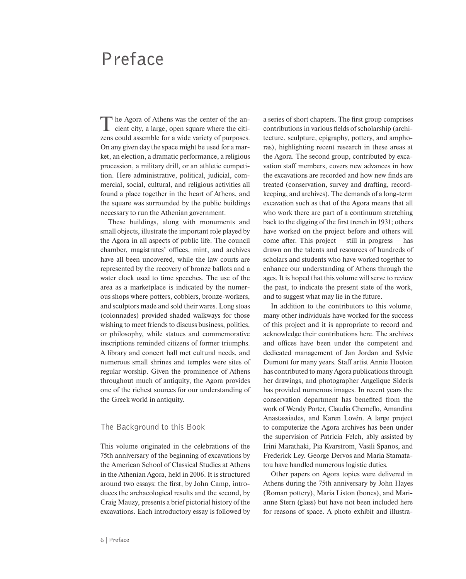### Preface

The Agora of Athens was the center of the ancient city, a large, open square where the citizens could assemble for a wide variety of purposes. On any given day the space might be used for a market, an election, a dramatic performance, a religious procession, a military drill, or an athletic competition. Here administrative, political, judicial, commercial, social, cultural, and religious activities all found a place together in the heart of Athens, and the square was surrounded by the public buildings necessary to run the Athenian government.

These buildings, along with monuments and small objects, illustrate the important role played by the Agora in all aspects of public life. The council chamber, magistrates' offices, mint, and archives have all been uncovered, while the law courts are represented by the recovery of bronze ballots and a water clock used to time speeches. The use of the area as a marketplace is indicated by the numerous shops where potters, cobblers, bronze-workers, and sculptors made and sold their wares. Long stoas (colonnades) provided shaded walkways for those wishing to meet friends to discuss business, politics, or philosophy, while statues and commemorative inscriptions reminded citizens of former triumphs. A library and concert hall met cultural needs, and numerous small shrines and temples were sites of regular worship. Given the prominence of Athens throughout much of antiquity, the Agora provides one of the richest sources for our understanding of the Greek world in antiquity.

#### The Background to this Book

This volume originated in the celebrations of the 75th anniversary of the beginning of excavations by the American School of Classical Studies at Athens in the Athenian Agora, held in 2006. It is structured around two essays: the first, by John Camp, introduces the archaeological results and the second, by Craig Mauzy, presents a brief pictorial history of the excavations. Each introductory essay is followed by a series of short chapters. The first group comprises contributions in various fields of scholarship (architecture, sculpture, epigraphy, pottery, and amphoras), highlighting recent research in these areas at the Agora. The second group, contributed by excavation staff members, covers new advances in how the excavations are recorded and how new finds are treated (conservation, survey and drafting, recordkeeping, and archives). The demands of a long-term excavation such as that of the Agora means that all who work there are part of a continuum stretching back to the digging of the first trench in 1931; others have worked on the project before and others will come after. This project  $-$  still in progress  $-$  has drawn on the talents and resources of hundreds of scholars and students who have worked together to enhance our understanding of Athens through the ages. It is hoped that this volume will serve to review the past, to indicate the present state of the work, and to suggest what may lie in the future.

In addition to the contributors to this volume, many other individuals have worked for the success of this project and it is appropriate to record and acknowledge their contributions here. The archives and offices have been under the competent and dedicated management of Jan Jordan and Sylvie Dumont for many years. Staff artist Annie Hooton has contributed to many Agora publications through her drawings, and photographer Angelique Sideris has provided numerous images. In recent years the conservation department has benefited from the work of Wendy Porter, Claudia Chemello, Amandina Anastassiades, and Karen Lovén. A large project to computerize the Agora archives has been under the supervision of Patricia Felch, ably assisted by Irini Marathaki, Pia Kvarstrom, Vasili Spanos, and Frederick Ley. George Dervos and Maria Stamatatou have handled numerous logistic duties.

Other papers on Agora topics were delivered in Athens during the 75th anniversary by John Hayes (Roman pottery), Maria Liston (bones), and Marianne Stern (glass) but have not been included here for reasons of space. A photo exhibit and illustra